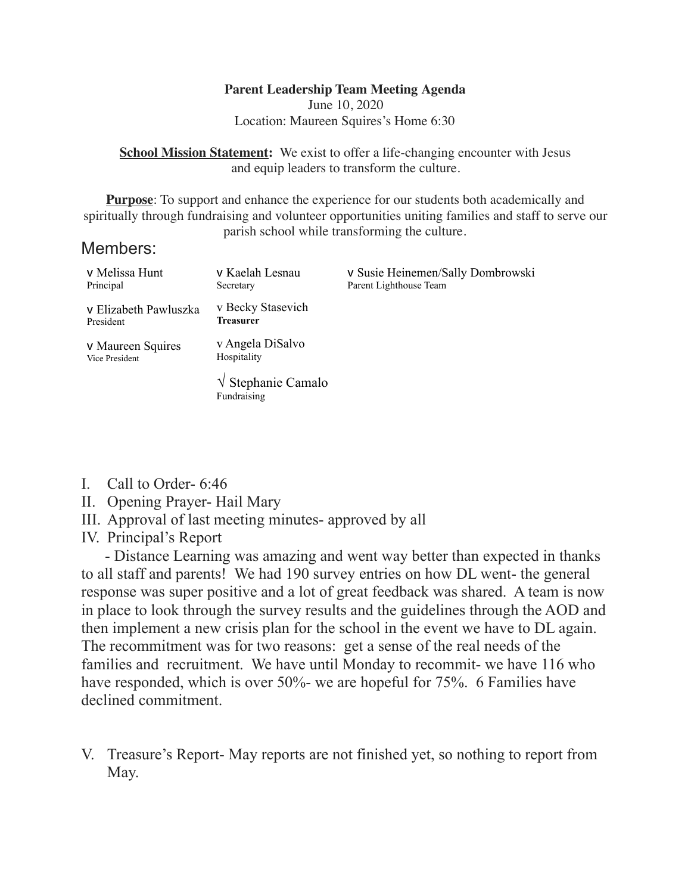### **Parent Leadership Team Meeting Agenda**

June 10, 2020 Location: Maureen Squires's Home 6:30

**School Mission Statement:** We exist to offer a life-changing encounter with Jesus and equip leaders to transform the culture.

**Purpose**: To support and enhance the experience for our students both academically and spiritually through fundraising and volunteer opportunities uniting families and staff to serve our parish school while transforming the culture.

## Members:

| v Melissa Hunt<br>Principal         | v Kaelah Lesnau<br>Secretary                | v Susie Heinemen/Sally Dombrowski<br>Parent Lighthouse Team |
|-------------------------------------|---------------------------------------------|-------------------------------------------------------------|
| v Elizabeth Pawluszka<br>President  | v Becky Stasevich<br>Treasurer              |                                                             |
| v Maureen Squires<br>Vice President | v Angela DiSalvo<br>Hospitality             |                                                             |
|                                     | $\sqrt{\ }$ Stephanie Camalo<br>Fundraising |                                                             |

- I. Call to Order- 6:46
- II. Opening Prayer- Hail Mary
- III. Approval of last meeting minutes- approved by all
- IV. Principal's Report

 - Distance Learning was amazing and went way better than expected in thanks to all staff and parents! We had 190 survey entries on how DL went- the general response was super positive and a lot of great feedback was shared. A team is now in place to look through the survey results and the guidelines through the AOD and then implement a new crisis plan for the school in the event we have to DL again. The recommitment was for two reasons: get a sense of the real needs of the families and recruitment. We have until Monday to recommit- we have 116 who have responded, which is over 50%- we are hopeful for 75%. 6 Families have declined commitment.

V. Treasure's Report- May reports are not finished yet, so nothing to report from May.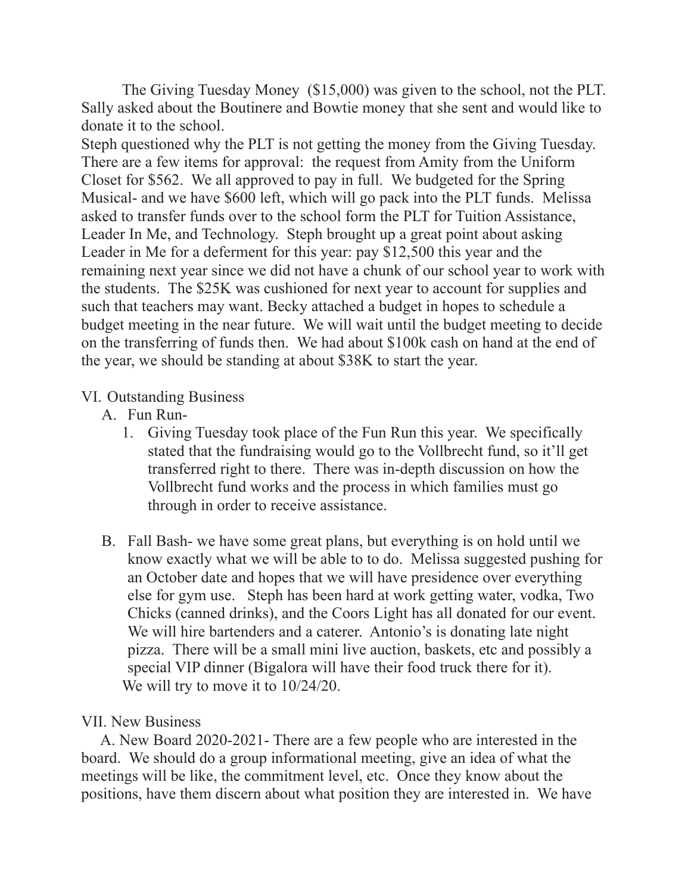The Giving Tuesday Money (\$15,000) was given to the school, not the PLT. Sally asked about the Boutinere and Bowtie money that she sent and would like to donate it to the school.

Steph questioned why the PLT is not getting the money from the Giving Tuesday. There are a few items for approval: the request from Amity from the Uniform Closet for \$562. We all approved to pay in full. We budgeted for the Spring Musical- and we have \$600 left, which will go pack into the PLT funds. Melissa asked to transfer funds over to the school form the PLT for Tuition Assistance, Leader In Me, and Technology. Steph brought up a great point about asking Leader in Me for a deferment for this year: pay \$12,500 this year and the remaining next year since we did not have a chunk of our school year to work with the students. The \$25K was cushioned for next year to account for supplies and such that teachers may want. Becky attached a budget in hopes to schedule a budget meeting in the near future. We will wait until the budget meeting to decide on the transferring of funds then. We had about \$100k cash on hand at the end of the year, we should be standing at about \$38K to start the year.

## VI. Outstanding Business

- A. Fun Run-
	- 1. Giving Tuesday took place of the Fun Run this year. We specifically stated that the fundraising would go to the Vollbrecht fund, so it'll get transferred right to there. There was in-depth discussion on how the Vollbrecht fund works and the process in which families must go through in order to receive assistance.
- B. Fall Bash- we have some great plans, but everything is on hold until we know exactly what we will be able to to do. Melissa suggested pushing for an October date and hopes that we will have presidence over everything else for gym use. Steph has been hard at work getting water, vodka, Two Chicks (canned drinks), and the Coors Light has all donated for our event. We will hire bartenders and a caterer. Antonio's is donating late night pizza. There will be a small mini live auction, baskets, etc and possibly a special VIP dinner (Bigalora will have their food truck there for it). We will try to move it to  $10/24/20$ .

# VII. New Business

 A. New Board 2020-2021- There are a few people who are interested in the board. We should do a group informational meeting, give an idea of what the meetings will be like, the commitment level, etc. Once they know about the positions, have them discern about what position they are interested in. We have